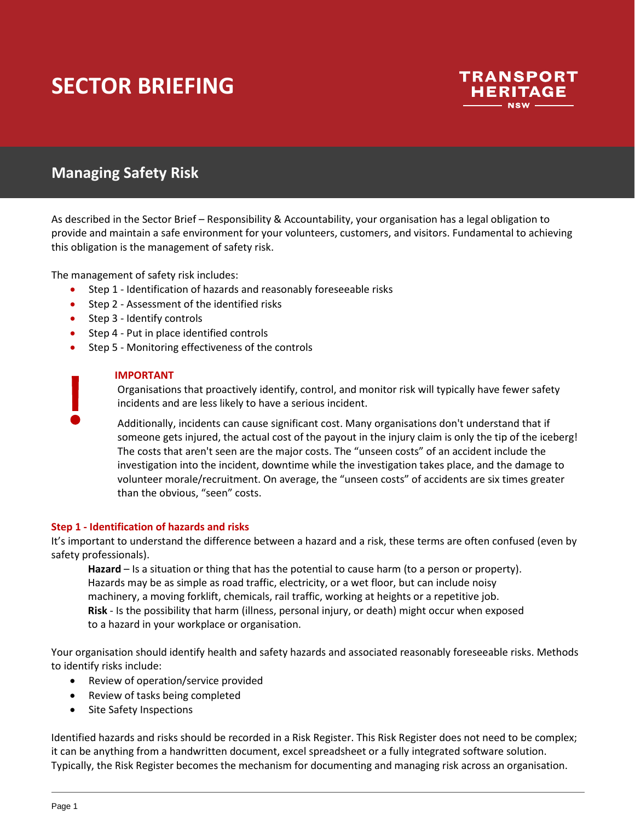

# **Managing Safety Risk**

As described in the Sector Brief – Responsibility & Accountability, your organisation has a legal obligation to provide and maintain a safe environment for your volunteers, customers, and visitors. Fundamental to achieving this obligation is the management of safety risk.

The management of safety risk includes:

- Step 1 Identification of hazards and reasonably foreseeable risks
- Step 2 Assessment of the identified risks
- Step 3 Identify controls
- Step 4 Put in place identified controls
- Step 5 Monitoring effectiveness of the controls

#### **IMPORTANT**

Organisations that proactively identify, control, and monitor risk will typically have fewer safety incidents and are less likely to have a serious incident.

Additionally, incidents can cause significant cost. Many organisations don't understand that if someone gets injured, the actual cost of the payout in the injury claim is only the tip of the iceberg! The costs that aren't seen are the major costs. The "unseen costs" of an accident include the investigation into the incident, downtime while the investigation takes place, and the damage to volunteer morale/recruitment. On average, the "unseen costs" of accidents are six times greater than the obvious, "seen" costs.

#### **Step 1 - Identification of hazards and risks**

It's important to understand the difference between a hazard and a risk, these terms are often confused (even by safety professionals).

**Hazard** – Is a situation or thing that has the potential to cause harm (to a person or property). Hazards may be as simple as road traffic, electricity, or a wet floor, but can include noisy machinery, a moving forklift, chemicals, rail traffic, working at heights or a repetitive job. **Risk** - Is the possibility that harm (illness, personal injury, or death) might occur when exposed to a hazard in your workplace or organisation.

Your organisation should identify health and safety hazards and associated reasonably foreseeable risks. Methods to identify risks include:

- Review of operation/service provided
- Review of tasks being completed
- Site Safety Inspections

Identified hazards and risks should be recorded in a Risk Register. This Risk Register does not need to be complex; it can be anything from a handwritten document, excel spreadsheet or a fully integrated software solution. Typically, the Risk Register becomes the mechanism for documenting and managing risk across an organisation.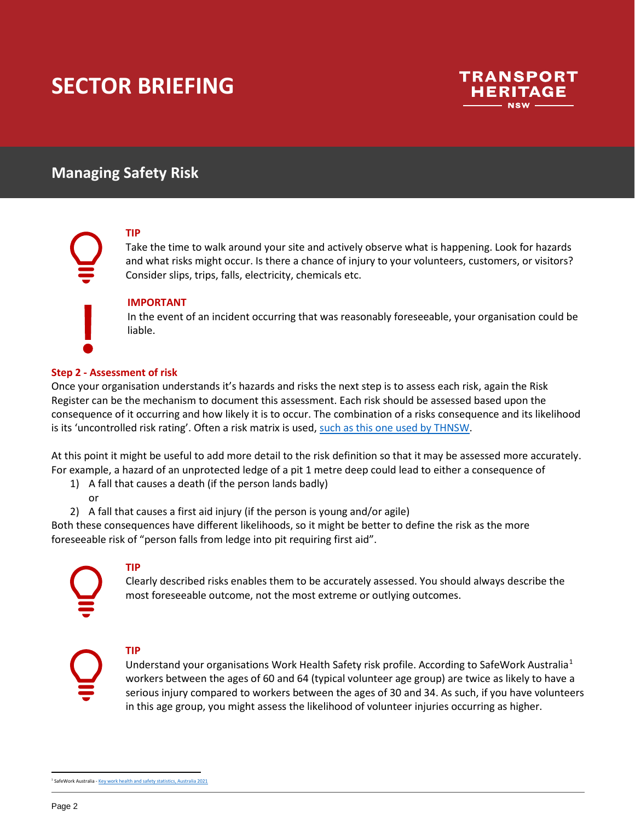

# **Managing Safety Risk**

### **TIP**

Take the time to walk around your site and actively observe what is happening. Look for hazards and what risks might occur. Is there a chance of injury to your volunteers, customers, or visitors? Consider slips, trips, falls, electricity, chemicals etc.

#### **IMPORTANT**

In the event of an incident occurring that was reasonably foreseeable, your organisation could be liable.

#### **Step 2 - Assessment of risk**

Once your organisation understands it's hazards and risks the next step is to assess each risk, again the Risk Register can be the mechanism to document this assessment. Each risk should be assessed based upon the consequence of it occurring and how likely it is to occur. The combination of a risks consequence and its likelihood is its 'uncontrolled risk rating'. Often a risk matrix is used, [such as this one used by THNSW.](https://transportheritagensw.sharepoint.com/:w:/s/SMS/EbRXSZCbcvVFjg1OOsMEg7UB4vZa0Dmcmg2cA_1_mKSTXw?rtime=yooIqR4D2kg)

At this point it might be useful to add more detail to the risk definition so that it may be assessed more accurately. For example, a hazard of an unprotected ledge of a pit 1 metre deep could lead to either a consequence of

- 1) A fall that causes a death (if the person lands badly) or
- 2) A fall that causes a first aid injury (if the person is young and/or agile)

Both these consequences have different likelihoods, so it might be better to define the risk as the more foreseeable risk of "person falls from ledge into pit requiring first aid".

### **TIP**

Clearly described risks enables them to be accurately assessed. You should always describe the most foreseeable outcome, not the most extreme or outlying outcomes.

### **TIP**

<span id="page-1-0"></span>Understand your organisations Work Health Safety risk profile. According to SafeWork Australia<sup>[1](#page-1-0)</sup> workers between the ages of 60 and 64 (typical volunteer age group) are twice as likely to have a serious injury compared to workers between the ages of 30 and 34. As such, if you have volunteers in this age group, you might assess the likelihood of volunteer injuries occurring as higher.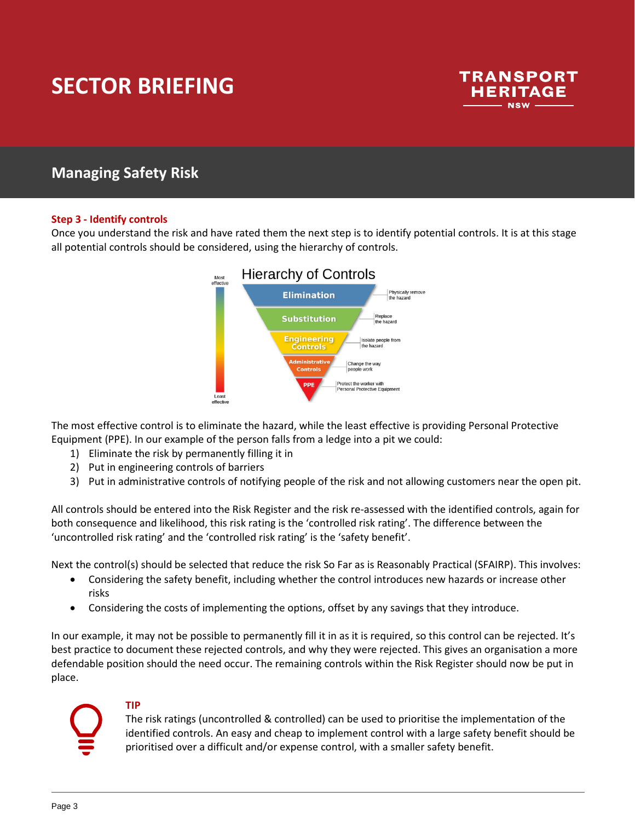

## **Managing Safety Risk**

#### **Step 3 - Identify controls**

Once you understand the risk and have rated them the next step is to identify potential controls. It is at this stage all potential controls should be considered, using the hierarchy of controls.



The most effective control is to eliminate the hazard, while the least effective is providing Personal Protective Equipment (PPE). In our example of the person falls from a ledge into a pit we could:

- 1) Eliminate the risk by permanently filling it in
- 2) Put in engineering controls of barriers
- 3) Put in administrative controls of notifying people of the risk and not allowing customers near the open pit.

All controls should be entered into the Risk Register and the risk re-assessed with the identified controls, again for both consequence and likelihood, this risk rating is the 'controlled risk rating'. The difference between the 'uncontrolled risk rating' and the 'controlled risk rating' is the 'safety benefit'.

Next the control(s) should be selected that reduce the risk So Far as is Reasonably Practical (SFAIRP). This involves:

- Considering the safety benefit, including whether the control introduces new hazards or increase other risks
- Considering the costs of implementing the options, offset by any savings that they introduce.

In our example, it may not be possible to permanently fill it in as it is required, so this control can be rejected. It's best practice to document these rejected controls, and why they were rejected. This gives an organisation a more defendable position should the need occur. The remaining controls within the Risk Register should now be put in place.

### **TIP**

The risk ratings (uncontrolled & controlled) can be used to prioritise the implementation of the identified controls. An easy and cheap to implement control with a large safety benefit should be prioritised over a difficult and/or expense control, with a smaller safety benefit.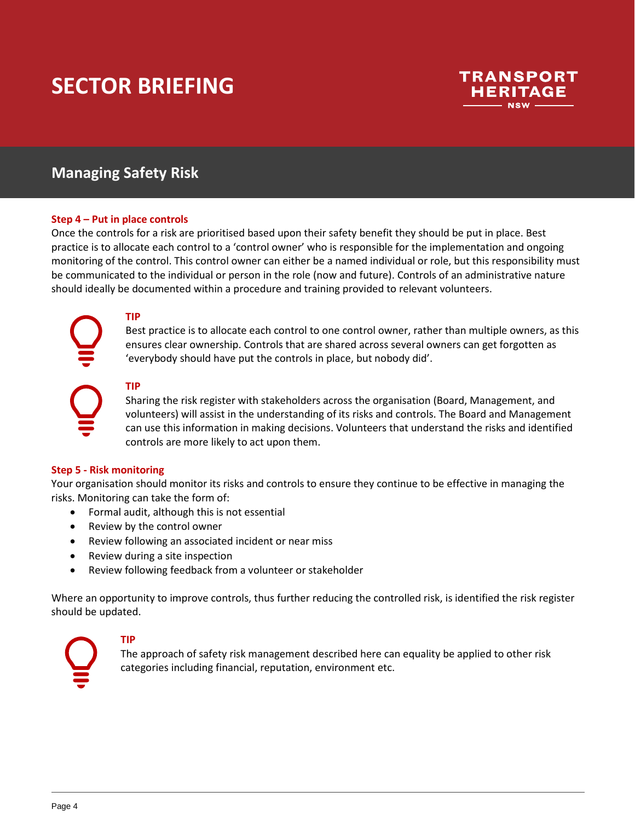

## **Managing Safety Risk**

#### **Step 4 – Put in place controls**

Once the controls for a risk are prioritised based upon their safety benefit they should be put in place. Best practice is to allocate each control to a 'control owner' who is responsible for the implementation and ongoing monitoring of the control. This control owner can either be a named individual or role, but this responsibility must be communicated to the individual or person in the role (now and future). Controls of an administrative nature should ideally be documented within a procedure and training provided to relevant volunteers.

Best practice is to allocate each control to one control owner, rather than multiple owners, as this ensures clear ownership. Controls that are shared across several owners can get forgotten as 'everybody should have put the controls in place, but nobody did'.



#### **TIP**

**TIP**

Sharing the risk register with stakeholders across the organisation (Board, Management, and volunteers) will assist in the understanding of its risks and controls. The Board and Management can use this information in making decisions. Volunteers that understand the risks and identified controls are more likely to act upon them.

#### **Step 5 - Risk monitoring**

Your organisation should monitor its risks and controls to ensure they continue to be effective in managing the risks. Monitoring can take the form of:

- Formal audit, although this is not essential
- Review by the control owner
- Review following an associated incident or near miss
- Review during a site inspection
- Review following feedback from a volunteer or stakeholder

Where an opportunity to improve controls, thus further reducing the controlled risk, is identified the risk register should be updated.



#### **TIP**

The approach of safety risk management described here can equality be applied to other risk categories including financial, reputation, environment etc.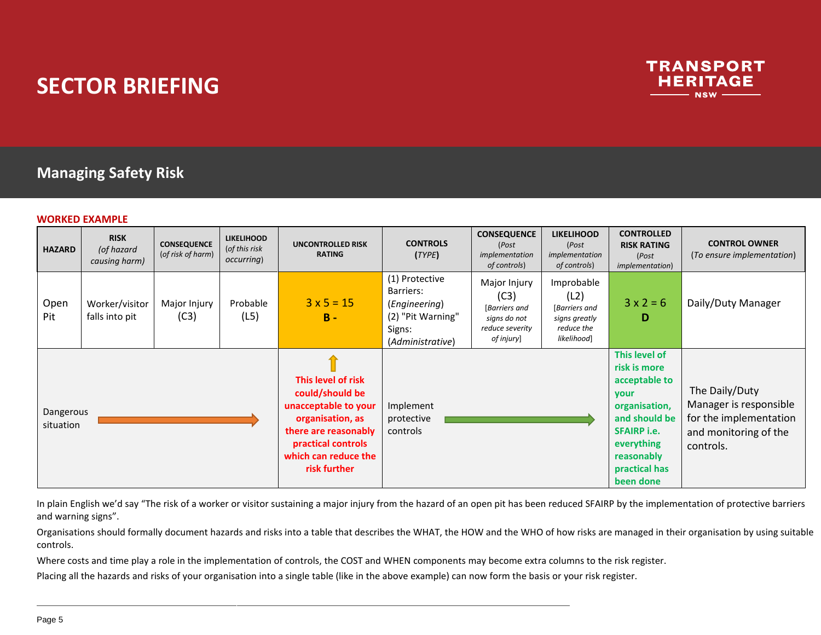

# **Managing Safety Risk**

#### **WORKED EXAMPLE**

| <b>HAZARD</b>          | <b>RISK</b><br>(of hazard<br>causing harm) | <b>CONSEQUENCE</b><br>(of risk of harm) | <b>LIKELIHOOD</b><br>(of this risk<br><i>occurring</i> ) | <b>UNCONTROLLED RISK</b><br><b>RATING</b>                                                                                                                               | <b>CONTROLS</b><br>(TYPE)                                                                       | <b>CONSEQUENCE</b><br>(Post<br>implementation<br>of controls)                          | <b>LIKELIHOOD</b><br>(Post<br>implementation<br>of controls)                      | <b>CONTROLLED</b><br><b>RISK RATING</b><br>(Post<br><i>implementation</i> )                                                                                              | <b>CONTROL OWNER</b><br>(To ensure implementation)                                                       |
|------------------------|--------------------------------------------|-----------------------------------------|----------------------------------------------------------|-------------------------------------------------------------------------------------------------------------------------------------------------------------------------|-------------------------------------------------------------------------------------------------|----------------------------------------------------------------------------------------|-----------------------------------------------------------------------------------|--------------------------------------------------------------------------------------------------------------------------------------------------------------------------|----------------------------------------------------------------------------------------------------------|
| Open<br>Pit            | Worker/visitor<br>falls into pit           | Major Injury<br>(C3)                    | Probable<br>(L5)                                         | $3 \times 5 = 15$<br>$B -$                                                                                                                                              | (1) Protective<br>Barriers:<br>(Engineering)<br>(2) "Pit Warning"<br>Signs:<br>(Administrative) | Major Injury<br>(C3)<br>[Barriers and<br>signs do not<br>reduce severity<br>of injury] | Improbable<br>(L2)<br>[Barriers and<br>signs greatly<br>reduce the<br>likelihood] | $3 \times 2 = 6$<br>D                                                                                                                                                    | Daily/Duty Manager                                                                                       |
| Dangerous<br>situation |                                            |                                         |                                                          | This level of risk<br>could/should be<br>unacceptable to your<br>organisation, as<br>there are reasonably<br>practical controls<br>which can reduce the<br>risk further | Implement<br>protective<br>controls                                                             |                                                                                        |                                                                                   | This level of<br>risk is more<br>acceptable to<br>your<br>organisation,<br>and should be<br><b>SFAIRP i.e.</b><br>everything<br>reasonably<br>practical has<br>been done | The Daily/Duty<br>Manager is responsible<br>for the implementation<br>and monitoring of the<br>controls. |

In plain English we'd say "The risk of a worker or visitor sustaining a major injury from the hazard of an open pit has been reduced SFAIRP by the implementation of protective barriers and warning signs".

Organisations should formally document hazards and risks into a table that describes the WHAT, the HOW and the WHO of how risks are managed in their organisation by using suitable controls.

Where costs and time play a role in the implementation of controls, the COST and WHEN components may become extra columns to the risk register.

Placing all the hazards and risks of your organisation into a single table (like in the above example) can now form the basis or your risk register.